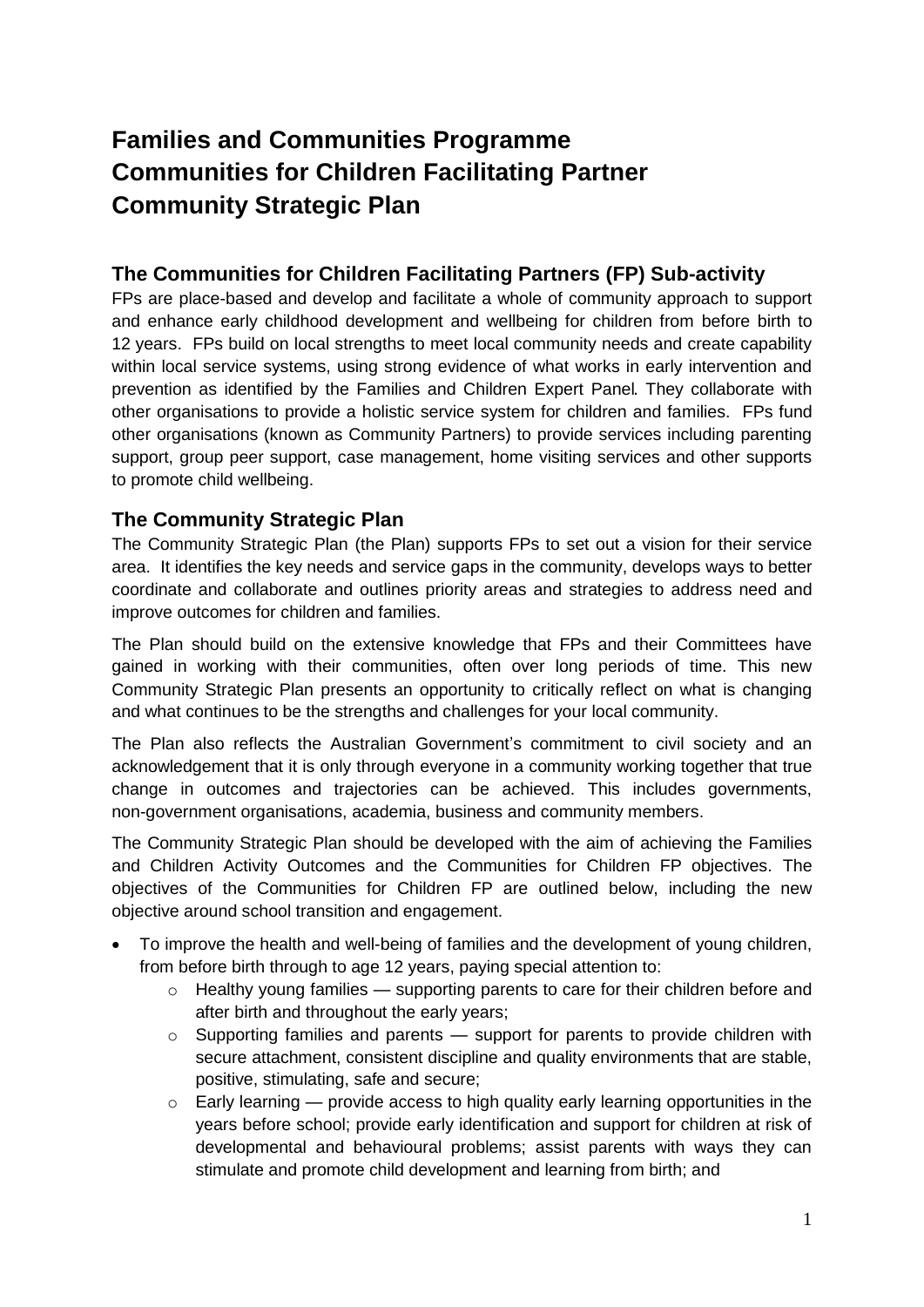# **Families and Communities Programme Communities for Children Facilitating Partner Community Strategic Plan**

# **The Communities for Children Facilitating Partners (FP) Sub-activity**

FPs are place-based and develop and facilitate a whole of community approach to support and enhance early childhood development and wellbeing for children from before birth to 12 years. FPs build on local strengths to meet local community needs and create capability within local service systems, using strong evidence of what works in early intervention and prevention as identified by the Families and Children Expert Panel. They collaborate with other organisations to provide a holistic service system for children and families. FPs fund other organisations (known as Community Partners) to provide services including parenting support, group peer support, case management, home visiting services and other supports to promote child wellbeing.

## **The Community Strategic Plan**

The Community Strategic Plan (the Plan) supports FPs to set out a vision for their service area. It identifies the key needs and service gaps in the community, develops ways to better coordinate and collaborate and outlines priority areas and strategies to address need and improve outcomes for children and families.

The Plan should build on the extensive knowledge that FPs and their Committees have gained in working with their communities, often over long periods of time. This new Community Strategic Plan presents an opportunity to critically reflect on what is changing and what continues to be the strengths and challenges for your local community.

The Plan also reflects the Australian Government's commitment to civil society and an acknowledgement that it is only through everyone in a community working together that true change in outcomes and trajectories can be achieved. This includes governments, non-government organisations, academia, business and community members.

The Community Strategic Plan should be developed with the aim of achieving the Families and Children Activity Outcomes and the Communities for Children FP objectives. The objectives of the Communities for Children FP are outlined below, including the new objective around school transition and engagement.

- To improve the health and well-being of families and the development of young children, from before birth through to age 12 years, paying special attention to:
	- o Healthy young families supporting parents to care for their children before and after birth and throughout the early years;
	- $\circ$  Supporting families and parents support for parents to provide children with secure attachment, consistent discipline and quality environments that are stable, positive, stimulating, safe and secure;
	- o Early learning provide access to high quality early learning opportunities in the years before school; provide early identification and support for children at risk of developmental and behavioural problems; assist parents with ways they can stimulate and promote child development and learning from birth; and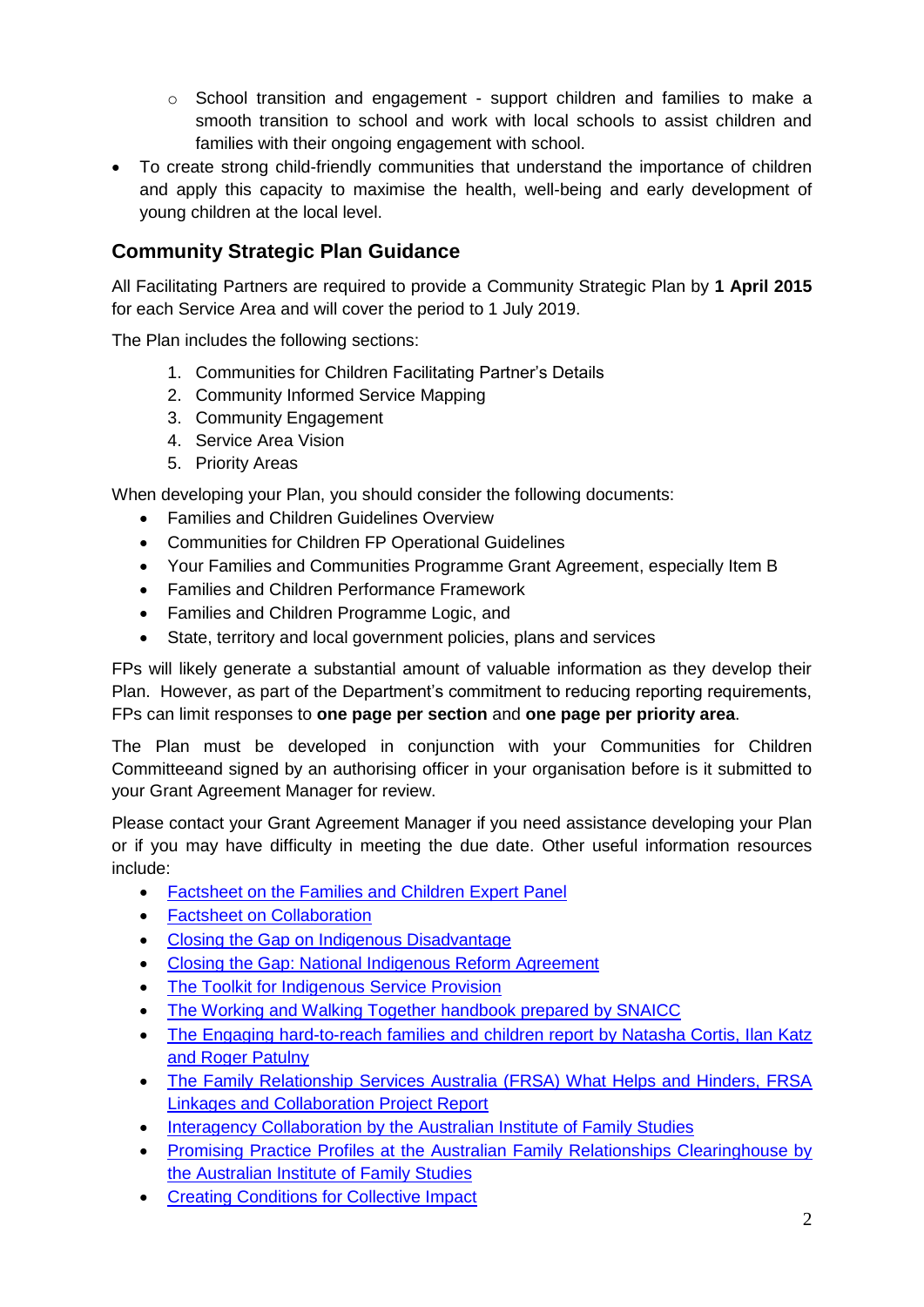- $\circ$  School transition and engagement support children and families to make a smooth transition to school and work with local schools to assist children and families with their ongoing engagement with school.
- To create strong child-friendly communities that understand the importance of children and apply this capacity to maximise the health, well-being and early development of young children at the local level.

# **Community Strategic Plan Guidance**

All Facilitating Partners are required to provide a Community Strategic Plan by **1 April 2015** for each Service Area and will cover the period to 1 July 2019.

The Plan includes the following sections:

- 1. Communities for Children Facilitating Partner's Details
- 2. Community Informed Service Mapping
- 3. Community Engagement
- 4. Service Area Vision
- 5. Priority Areas

When developing your Plan, you should consider the following documents:

- Families and Children Guidelines Overview
- Communities for Children FP Operational Guidelines
- Your Families and Communities Programme Grant Agreement, especially Item B
- Families and Children Performance Framework
- Families and Children Programme Logic, and
- State, territory and local government policies, plans and services

FPs will likely generate a substantial amount of valuable information as they develop their Plan. However, as part of the Department's commitment to reducing reporting requirements, FPs can limit responses to **one page per section** and **one page per priority area**.

The Plan must be developed in conjunction with your Communities for Children Committeeand signed by an authorising officer in your organisation before is it submitted to your Grant Agreement Manager for review.

Please contact your Grant Agreement Manager if you need assistance developing your Plan or if you may have difficulty in meeting the due date. Other useful information resources include:

- [Factsheet on the Families and Children Expert Panel](http://www.dss.gov.au/our-responsibilities/families-and-children/programs-services/family-support-program/families-and-children-activity-expert-panel)
- **•** [Factsheet on Collaboration](http://www.dss.gov.au/our-responsibilities/families-and-children/programs-services/family-support-program/factsheet-collaboration)
- [Closing the Gap on Indigenous Disadvantage](https://www.coag.gov.au/closing_the_gap_in_indigenous_disadvantage)
- [Closing the Gap: National Indigenous Reform Agreement](https://www.coag.gov.au/node/145)
- [The Toolkit for Indigenous Service Provision](http://www.dss.gov.au/our-responsibilities/indigenous-australians/programs-services/recognition-respect/toolkit-for-indigenous-service-provision)
- [The Working and Walking Together handbook prepared by SNAICC](http://www.google.com.au/url?url=http://www.snaicc.org.au/_uploads/rsfil/02497.pdf&rct=j&frm=1&q=&esrc=s&sa=U&ei=3qqnU8HlGYKQkwXGgoHYCg&ved=0CBQQFjAA&usg=AFQjCNF61xvh9XDBs57QBTy4tZk_468UaA)
- The Engaging hard-to-reach families and children report by Natasha Cortis, Ilan Katz [and Roger Patulny](https://www.google.com/url?url=https://www.sprc.unsw.edu.au/media/SPRCFile/33_OccPaper_26.pdf&rct=j&frm=1&q=&esrc=s&sa=U&ei=MaunU4XAA8jGkwXElYC4Cw&ved=0CCkQFjAD&usg=AFQjCNG9B-OYYAlfalZmdjdjldFeQr2Mtw)
- [The Family Relationship Services Australia \(FRSA\) What Helps and Hinders, FRSA](http://www.google.com.au/url?url=http://www.frsa.org.au/storage/documents-pdfs/FRSA%2520Linkages%2520Collaboration%2520Report%2520vWeb.pdf&rct=j&frm=1&q=&esrc=s&sa=U&ei=0K2nU4rDC468kAW7zoHICg&ved=0CBQQFjAA&usg=AFQjCNGfhY9qS41lAB_4TwTCYISlw5eO3g)  [Linkages and Collaboration Project Report](http://www.google.com.au/url?url=http://www.frsa.org.au/storage/documents-pdfs/FRSA%2520Linkages%2520Collaboration%2520Report%2520vWeb.pdf&rct=j&frm=1&q=&esrc=s&sa=U&ei=0K2nU4rDC468kAW7zoHICg&ved=0CBQQFjAA&usg=AFQjCNGfhY9qS41lAB_4TwTCYISlw5eO3g)
- [Interagency Collaboration by the Australian Institute of Family Studies](http://www.google.com.au/url?url=http://www.aifs.gov.au/afrc/pubs/briefing/b021/bp21a.pdf&rct=j&frm=1&q=&esrc=s&sa=U&ei=Ya6nU_b4C8PgkAXhvYCoCw&ved=0CBQQFjAA&usg=AFQjCNFZMpbMv_tOAOVIlsJV2bbCchkN7A)
- [Promising Practice Profiles at the Australian Family Relationships Clearinghouse by](http://www.aifs.gov.au/cafca/ppp/ppp.html)  [the Australian Institute of Family Studies](http://www.aifs.gov.au/cafca/ppp/ppp.html)
- **[Creating Conditions for Collective Impact](http://www.griffith.edu.au/criminology-law/key-centre-ethics-law-justice-governance/research/prevention-developmental-pathways/creating-conditions-for-collective-impact)**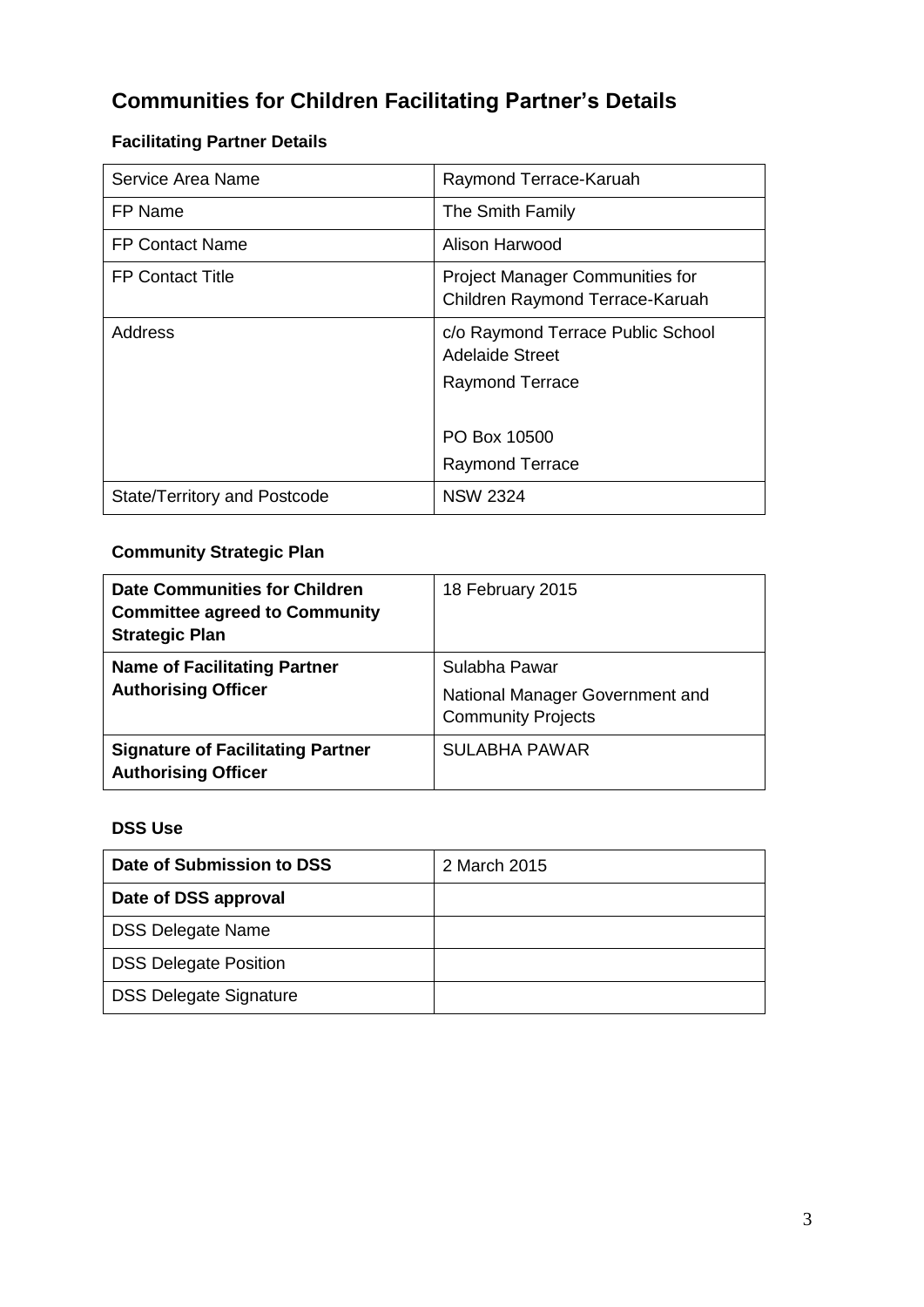# **Communities for Children Facilitating Partner's Details**

# **Facilitating Partner Details**

| Service Area Name                   | Raymond Terrace-Karuah                                                    |
|-------------------------------------|---------------------------------------------------------------------------|
| FP Name                             | The Smith Family                                                          |
| <b>FP Contact Name</b>              | Alison Harwood                                                            |
| FP Contact Title                    | <b>Project Manager Communities for</b><br>Children Raymond Terrace-Karuah |
| Address                             | c/o Raymond Terrace Public School<br><b>Adelaide Street</b>               |
|                                     | <b>Raymond Terrace</b>                                                    |
|                                     | PO Box 10500                                                              |
|                                     | <b>Raymond Terrace</b>                                                    |
| <b>State/Territory and Postcode</b> | <b>NSW 2324</b>                                                           |

## **Community Strategic Plan**

| Date Communities for Children<br><b>Committee agreed to Community</b><br><b>Strategic Plan</b> | 18 February 2015                                                              |
|------------------------------------------------------------------------------------------------|-------------------------------------------------------------------------------|
| <b>Name of Facilitating Partner</b><br><b>Authorising Officer</b>                              | Sulabha Pawar<br>National Manager Government and<br><b>Community Projects</b> |
| <b>Signature of Facilitating Partner</b><br><b>Authorising Officer</b>                         | SULABHA PAWAR                                                                 |

## **DSS Use**

| Date of Submission to DSS     | 2 March 2015 |
|-------------------------------|--------------|
| Date of DSS approval          |              |
| <b>DSS Delegate Name</b>      |              |
| <b>DSS Delegate Position</b>  |              |
| <b>DSS Delegate Signature</b> |              |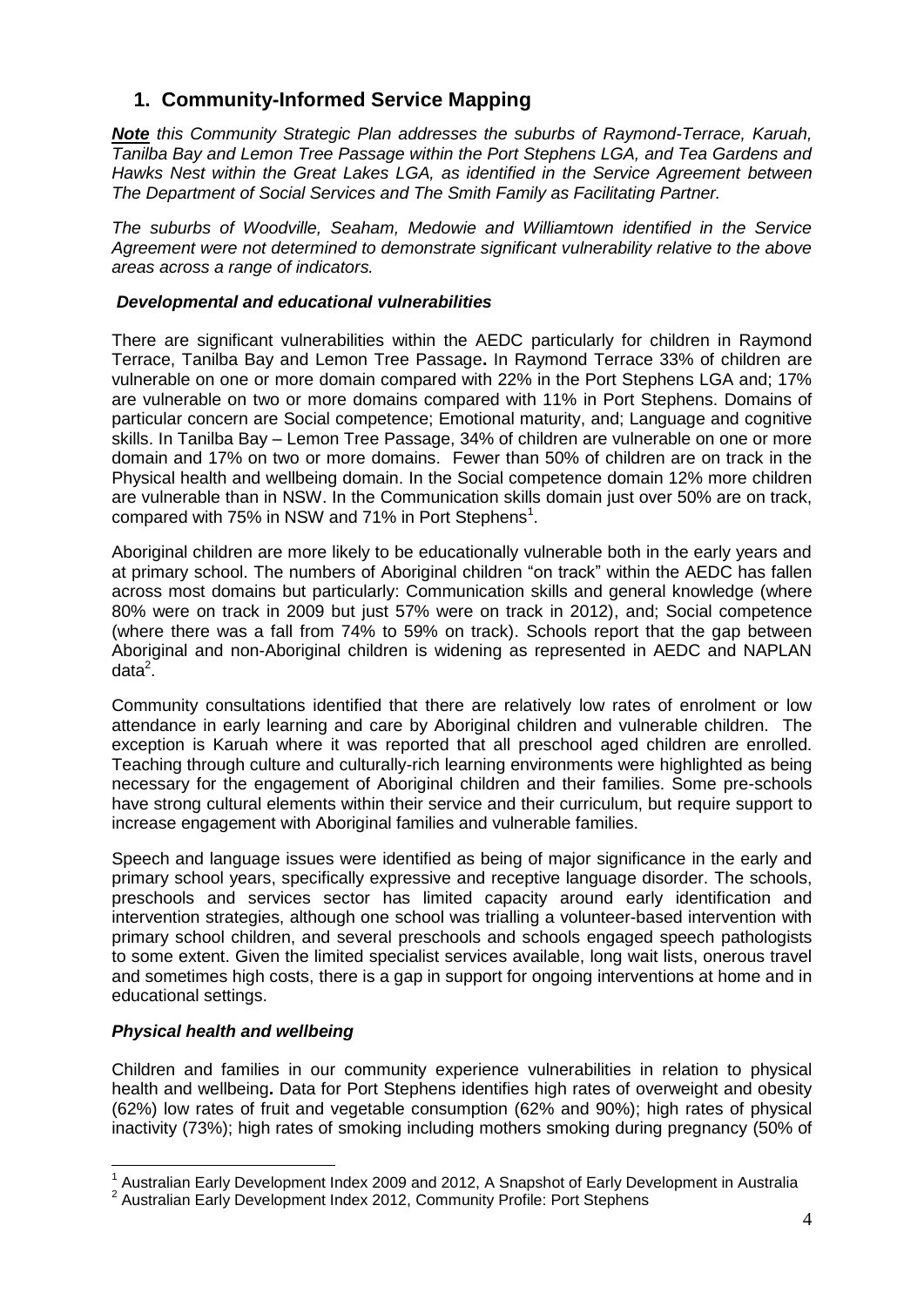# **1. Community-Informed Service Mapping**

*Note this Community Strategic Plan addresses the suburbs of Raymond-Terrace, Karuah, Tanilba Bay and Lemon Tree Passage within the Port Stephens LGA, and Tea Gardens and Hawks Nest within the Great Lakes LGA, as identified in the Service Agreement between The Department of Social Services and The Smith Family as Facilitating Partner.* 

*The suburbs of Woodville, Seaham, Medowie and Williamtown identified in the Service Agreement were not determined to demonstrate significant vulnerability relative to the above areas across a range of indicators.* 

#### *Developmental and educational vulnerabilities*

There are significant vulnerabilities within the AEDC particularly for children in Raymond Terrace, Tanilba Bay and Lemon Tree Passage**.** In Raymond Terrace 33% of children are vulnerable on one or more domain compared with 22% in the Port Stephens LGA and; 17% are vulnerable on two or more domains compared with 11% in Port Stephens. Domains of particular concern are Social competence; Emotional maturity, and; Language and cognitive skills. In Tanilba Bay – Lemon Tree Passage, 34% of children are vulnerable on one or more domain and 17% on two or more domains. Fewer than 50% of children are on track in the Physical health and wellbeing domain. In the Social competence domain 12% more children are vulnerable than in NSW. In the Communication skills domain just over 50% are on track, compared with 75% in NSW and 71% in Port Stephens<sup>1</sup>.

Aboriginal children are more likely to be educationally vulnerable both in the early years and at primary school. The numbers of Aboriginal children "on track" within the AEDC has fallen across most domains but particularly: Communication skills and general knowledge (where 80% were on track in 2009 but just 57% were on track in 2012), and; Social competence (where there was a fall from 74% to 59% on track). Schools report that the gap between Aboriginal and non-Aboriginal children is widening as represented in AEDC and NAPLAN  $data<sup>2</sup>$ .

Community consultations identified that there are relatively low rates of enrolment or low attendance in early learning and care by Aboriginal children and vulnerable children.The exception is Karuah where it was reported that all preschool aged children are enrolled. Teaching through culture and culturally-rich learning environments were highlighted as being necessary for the engagement of Aboriginal children and their families. Some pre-schools have strong cultural elements within their service and their curriculum, but require support to increase engagement with Aboriginal families and vulnerable families.

Speech and language issues were identified as being of major significance in the early and primary school years, specifically expressive and receptive language disorder. The schools, preschools and services sector has limited capacity around early identification and intervention strategies, although one school was trialling a volunteer-based intervention with primary school children, and several preschools and schools engaged speech pathologists to some extent. Given the limited specialist services available, long wait lists, onerous travel and sometimes high costs, there is a gap in support for ongoing interventions at home and in educational settings.

#### *Physical health and wellbeing*

-

Children and families in our community experience vulnerabilities in relation to physical health and wellbeing**.** Data for Port Stephens identifies high rates of overweight and obesity (62%) low rates of fruit and vegetable consumption (62% and 90%); high rates of physical inactivity (73%); high rates of smoking including mothers smoking during pregnancy (50% of

<sup>&</sup>lt;sup>1</sup> Australian Early Development Index 2009 and 2012, A Snapshot of Early Development in Australia

<sup>&</sup>lt;sup>2</sup> Australian Early Development Index 2012, Community Profile: Port Stephens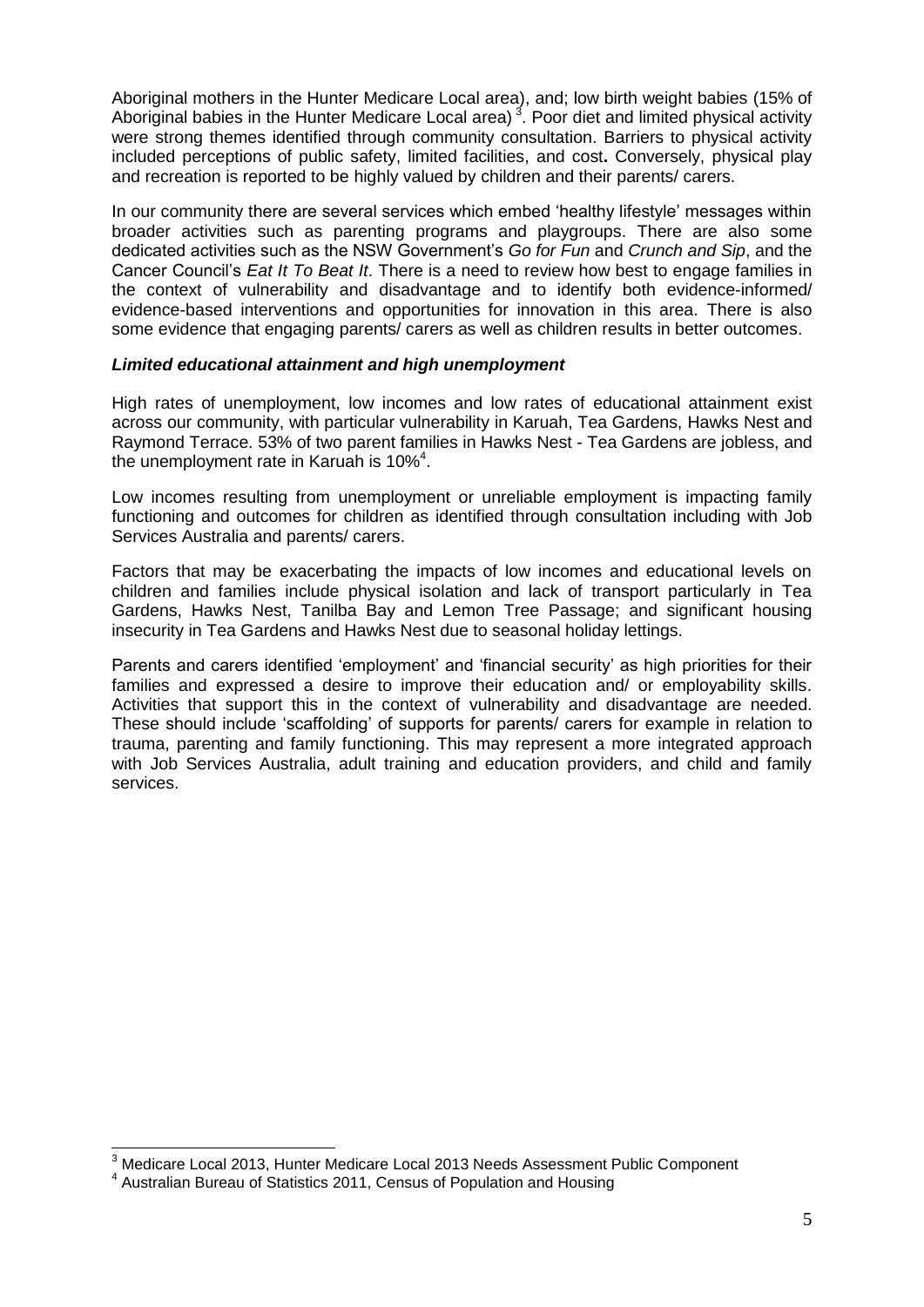Aboriginal mothers in the Hunter Medicare Local area), and; low birth weight babies (15% of Aboriginal babies in the Hunter Medicare Local area)<sup>3</sup>. Poor diet and limited physical activity were strong themes identified through community consultation. Barriers to physical activity included perceptions of public safety, limited facilities, and cost**.** Conversely, physical play and recreation is reported to be highly valued by children and their parents/ carers.

In our community there are several services which embed 'healthy lifestyle' messages within broader activities such as parenting programs and playgroups. There are also some dedicated activities such as the NSW Government's *Go for Fun* and *Crunch and Sip*, and the Cancer Council's *Eat It To Beat It*. There is a need to review how best to engage families in the context of vulnerability and disadvantage and to identify both evidence-informed/ evidence-based interventions and opportunities for innovation in this area. There is also some evidence that engaging parents/ carers as well as children results in better outcomes.

#### *Limited educational attainment and high unemployment*

High rates of unemployment, low incomes and low rates of educational attainment exist across our community, with particular vulnerability in Karuah, Tea Gardens, Hawks Nest and Raymond Terrace. 53% of two parent families in Hawks Nest - Tea Gardens are jobless, and the unemployment rate in Karuah is  $10\%^4$ .

Low incomes resulting from unemployment or unreliable employment is impacting family functioning and outcomes for children as identified through consultation including with Job Services Australia and parents/ carers.

Factors that may be exacerbating the impacts of low incomes and educational levels on children and families include physical isolation and lack of transport particularly in Tea Gardens, Hawks Nest, Tanilba Bay and Lemon Tree Passage; and significant housing insecurity in Tea Gardens and Hawks Nest due to seasonal holiday lettings.

Parents and carers identified 'employment' and 'financial security' as high priorities for their families and expressed a desire to improve their education and/ or employability skills. Activities that support this in the context of vulnerability and disadvantage are needed. These should include 'scaffolding' of supports for parents/ carers for example in relation to trauma, parenting and family functioning. This may represent a more integrated approach with Job Services Australia, adult training and education providers, and child and family services.

 $\overline{1}$  $3$  Medicare Local 2013, Hunter Medicare Local 2013 Needs Assessment Public Component

<sup>&</sup>lt;sup>4</sup> Australian Bureau of Statistics 2011, Census of Population and Housing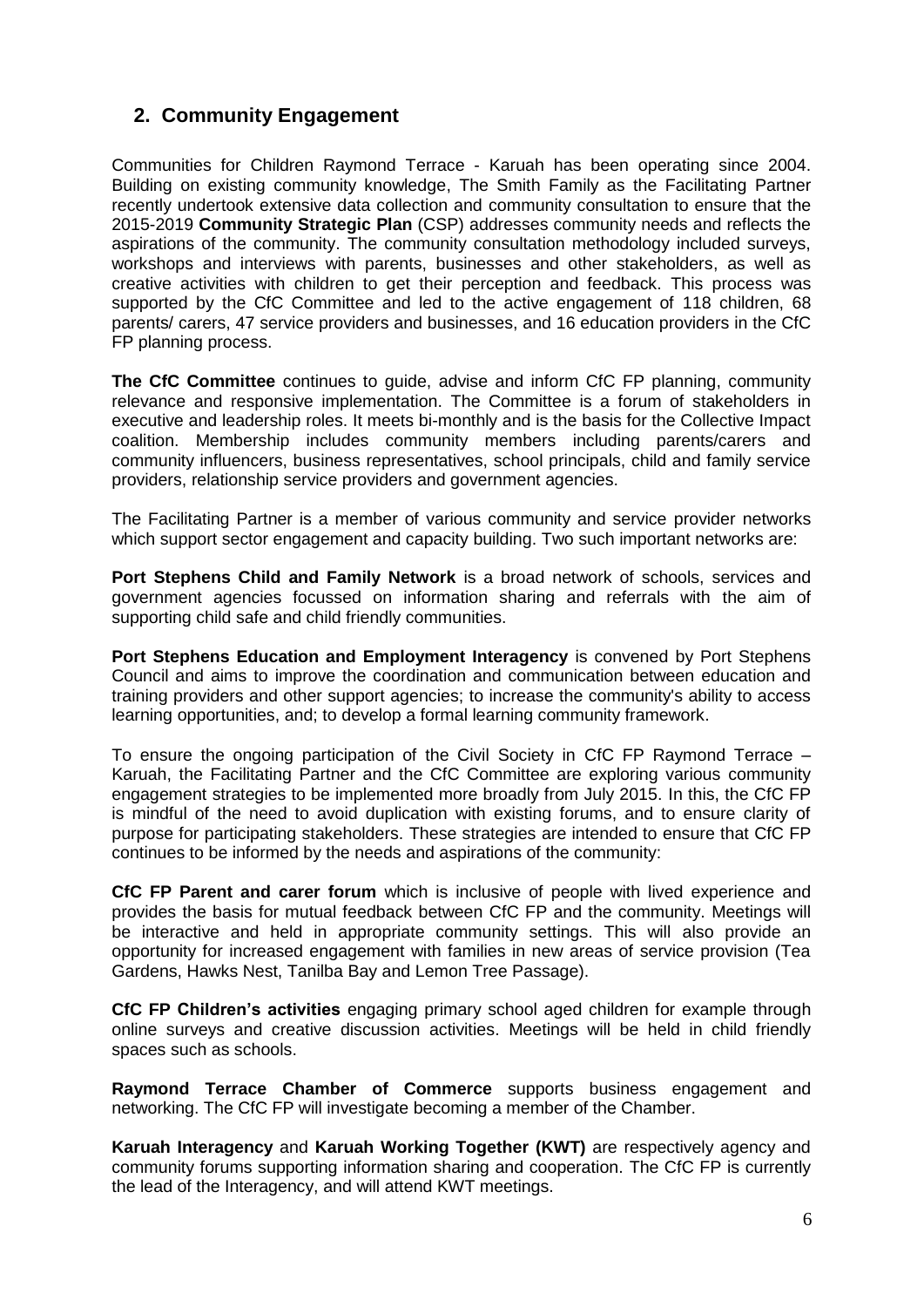# **2. Community Engagement**

Communities for Children Raymond Terrace - Karuah has been operating since 2004. Building on existing community knowledge, The Smith Family as the Facilitating Partner recently undertook extensive data collection and community consultation to ensure that the 2015-2019 **Community Strategic Plan** (CSP) addresses community needs and reflects the aspirations of the community. The community consultation methodology included surveys, workshops and interviews with parents, businesses and other stakeholders, as well as creative activities with children to get their perception and feedback. This process was supported by the CfC Committee and led to the active engagement of 118 children, 68 parents/ carers, 47 service providers and businesses, and 16 education providers in the CfC FP planning process.

**The CfC Committee** continues to guide, advise and inform CfC FP planning, community relevance and responsive implementation. The Committee is a forum of stakeholders in executive and leadership roles. It meets bi-monthly and is the basis for the Collective Impact coalition. Membership includes community members including parents/carers and community influencers, business representatives, school principals, child and family service providers, relationship service providers and government agencies.

The Facilitating Partner is a member of various community and service provider networks which support sector engagement and capacity building. Two such important networks are:

**Port Stephens Child and Family Network** is a broad network of schools, services and government agencies focussed on information sharing and referrals with the aim of supporting child safe and child friendly communities.

**Port Stephens Education and Employment Interagency** is convened by Port Stephens Council and aims to improve the coordination and communication between education and training providers and other support agencies; to increase the community's ability to access learning opportunities, and; to develop a formal learning community framework.

To ensure the ongoing participation of the Civil Society in CfC FP Raymond Terrace – Karuah, the Facilitating Partner and the CfC Committee are exploring various community engagement strategies to be implemented more broadly from July 2015. In this, the CfC FP is mindful of the need to avoid duplication with existing forums, and to ensure clarity of purpose for participating stakeholders. These strategies are intended to ensure that CfC FP continues to be informed by the needs and aspirations of the community:

**CfC FP Parent and carer forum** which is inclusive of people with lived experience and provides the basis for mutual feedback between CfC FP and the community. Meetings will be interactive and held in appropriate community settings. This will also provide an opportunity for increased engagement with families in new areas of service provision (Tea Gardens, Hawks Nest, Tanilba Bay and Lemon Tree Passage).

**CfC FP Children's activities** engaging primary school aged children for example through online surveys and creative discussion activities. Meetings will be held in child friendly spaces such as schools.

**Raymond Terrace Chamber of Commerce** supports business engagement and networking. The CfC FP will investigate becoming a member of the Chamber.

**Karuah Interagency** and **Karuah Working Together (KWT)** are respectively agency and community forums supporting information sharing and cooperation. The CfC FP is currently the lead of the Interagency, and will attend KWT meetings.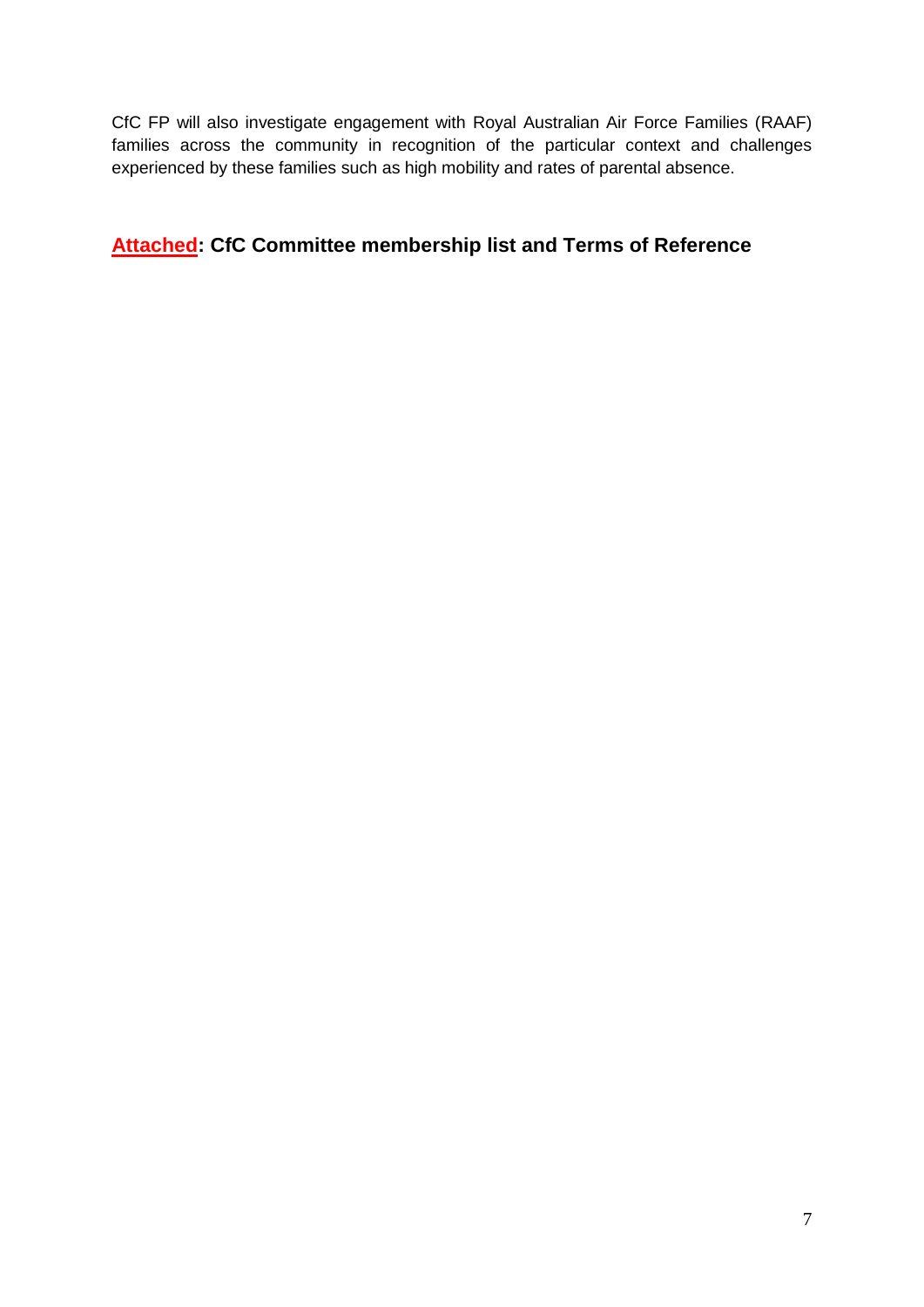CfC FP will also investigate engagement with Royal Australian Air Force Families (RAAF) families across the community in recognition of the particular context and challenges experienced by these families such as high mobility and rates of parental absence.

# **Attached: CfC Committee membership list and Terms of Reference**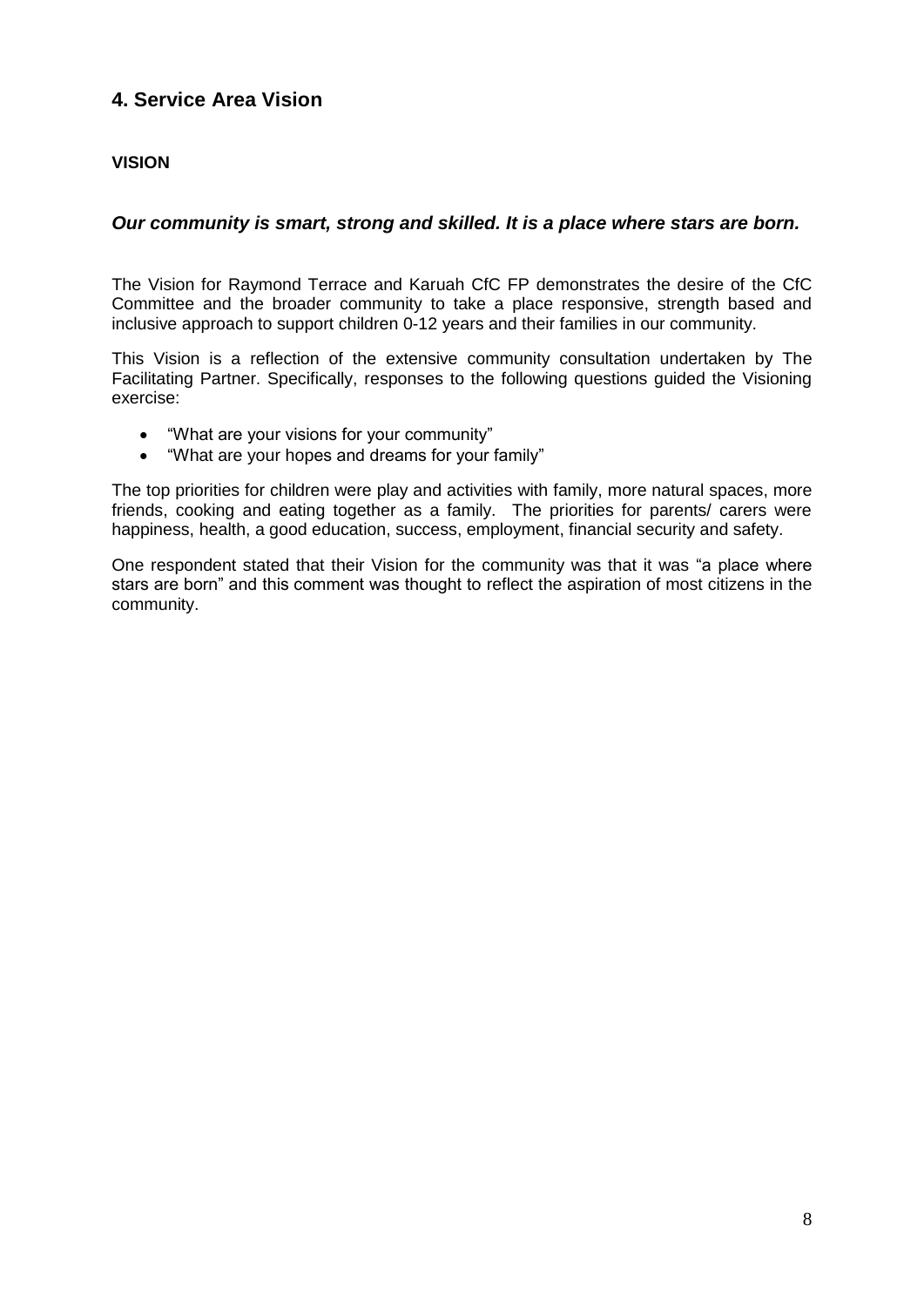# **4. Service Area Vision**

## **VISION**

## *Our community is smart, strong and skilled. It is a place where stars are born.*

The Vision for Raymond Terrace and Karuah CfC FP demonstrates the desire of the CfC Committee and the broader community to take a place responsive, strength based and inclusive approach to support children 0-12 years and their families in our community.

This Vision is a reflection of the extensive community consultation undertaken by The Facilitating Partner. Specifically, responses to the following questions guided the Visioning exercise:

- "What are your visions for your community"
- "What are your hopes and dreams for your family"

The top priorities for children were play and activities with family, more natural spaces, more friends, cooking and eating together as a family. The priorities for parents/ carers were happiness, health, a good education, success, employment, financial security and safety.

One respondent stated that their Vision for the community was that it was "a place where stars are born" and this comment was thought to reflect the aspiration of most citizens in the community.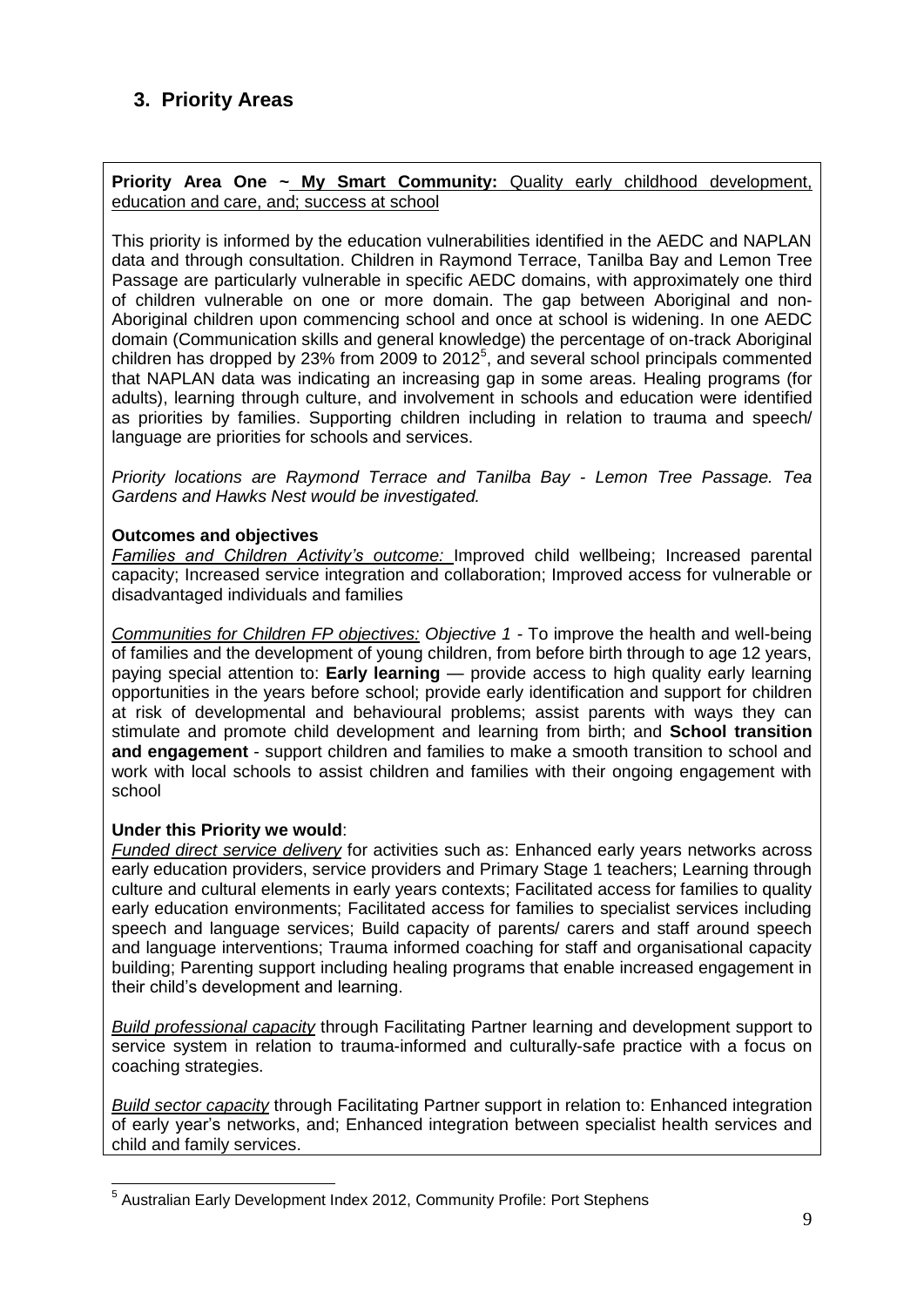# **3. Priority Areas**

**Priority Area One ~ My Smart Community:** Quality early childhood development, education and care, and; success at school

This priority is informed by the education vulnerabilities identified in the AEDC and NAPLAN data and through consultation. Children in Raymond Terrace, Tanilba Bay and Lemon Tree Passage are particularly vulnerable in specific AEDC domains, with approximately one third of children vulnerable on one or more domain. The gap between Aboriginal and non-Aboriginal children upon commencing school and once at school is widening. In one AEDC domain (Communication skills and general knowledge) the percentage of on-track Aboriginal children has dropped by 23% from 2009 to 2012 $<sup>5</sup>$ , and several school principals commented</sup> that NAPLAN data was indicating an increasing gap in some areas. Healing programs (for adults), learning through culture, and involvement in schools and education were identified as priorities by families. Supporting children including in relation to trauma and speech/ language are priorities for schools and services.

*Priority locations are Raymond Terrace and Tanilba Bay - Lemon Tree Passage. Tea Gardens and Hawks Nest would be investigated.* 

#### **Outcomes and objectives**

*Families and Children Activity's outcome:* Improved child wellbeing; Increased parental capacity; Increased service integration and collaboration; Improved access for vulnerable or disadvantaged individuals and families

*Communities for Children FP objectives: Objective 1 -* To improve the health and well-being of families and the development of young children, from before birth through to age 12 years, paying special attention to: **Early learning** — provide access to high quality early learning opportunities in the years before school; provide early identification and support for children at risk of developmental and behavioural problems; assist parents with ways they can stimulate and promote child development and learning from birth; and **School transition and engagement** - support children and families to make a smooth transition to school and work with local schools to assist children and families with their ongoing engagement with school

#### **Under this Priority we would**:

-

*Funded direct service delivery* for activities such as: Enhanced early years networks across early education providers, service providers and Primary Stage 1 teachers; Learning through culture and cultural elements in early years contexts; Facilitated access for families to quality early education environments; Facilitated access for families to specialist services including speech and language services; Build capacity of parents/ carers and staff around speech and language interventions; Trauma informed coaching for staff and organisational capacity building; Parenting support including healing programs that enable increased engagement in their child's development and learning.

*Build professional capacity* through Facilitating Partner learning and development support to service system in relation to trauma-informed and culturally-safe practice with a focus on coaching strategies.

*Build sector capacity* through Facilitating Partner support in relation to: Enhanced integration of early year's networks, and; Enhanced integration between specialist health services and child and family services.

<sup>&</sup>lt;sup>5</sup> Australian Early Development Index 2012, Community Profile: Port Stephens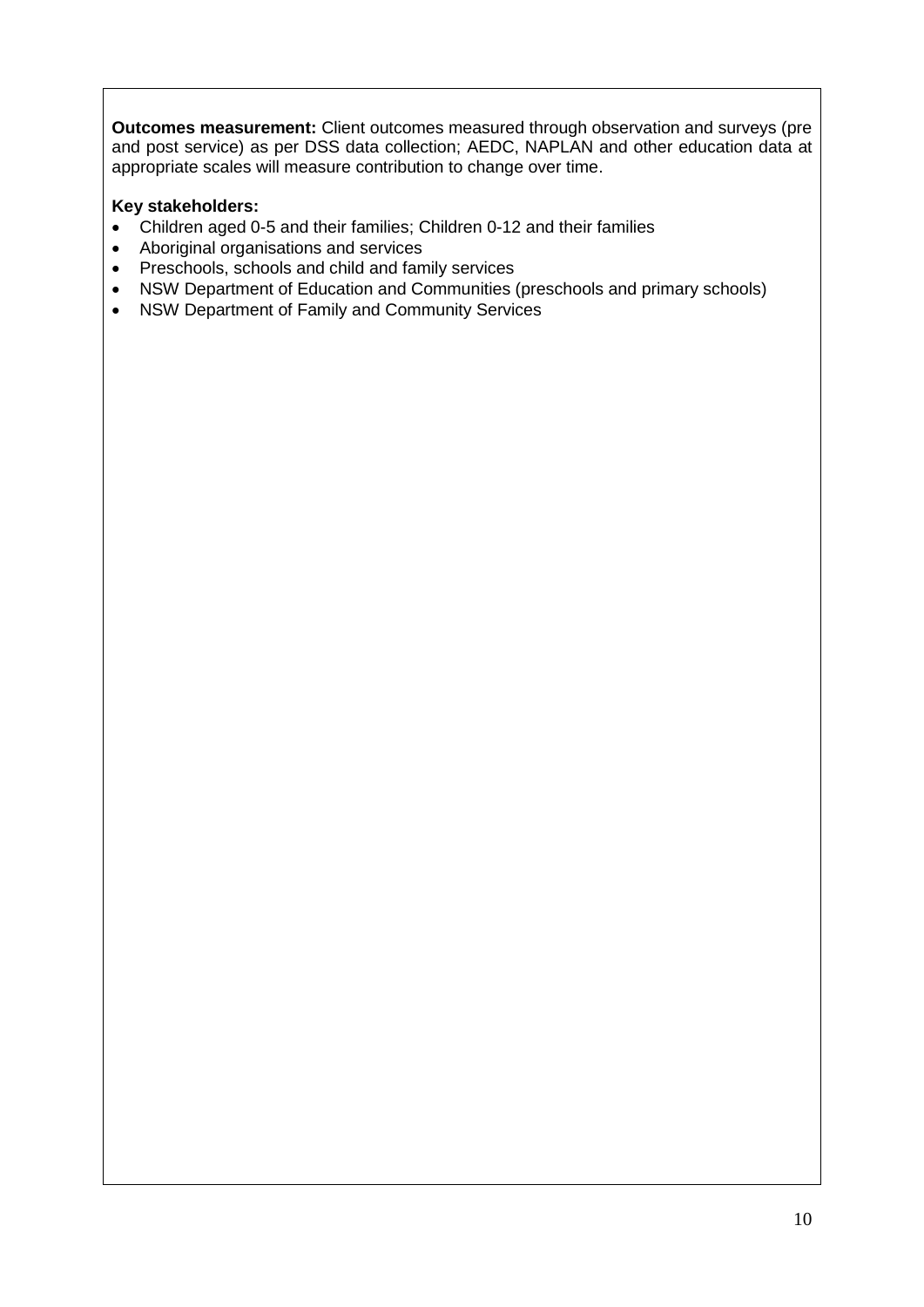**Outcomes measurement:** Client outcomes measured through observation and surveys (pre and post service) as per DSS data collection; AEDC, NAPLAN and other education data at appropriate scales will measure contribution to change over time.

### **Key stakeholders:**

- Children aged 0-5 and their families; Children 0-12 and their families
- Aboriginal organisations and services
- Preschools, schools and child and family services
- NSW Department of Education and Communities (preschools and primary schools)
- NSW Department of Family and Community Services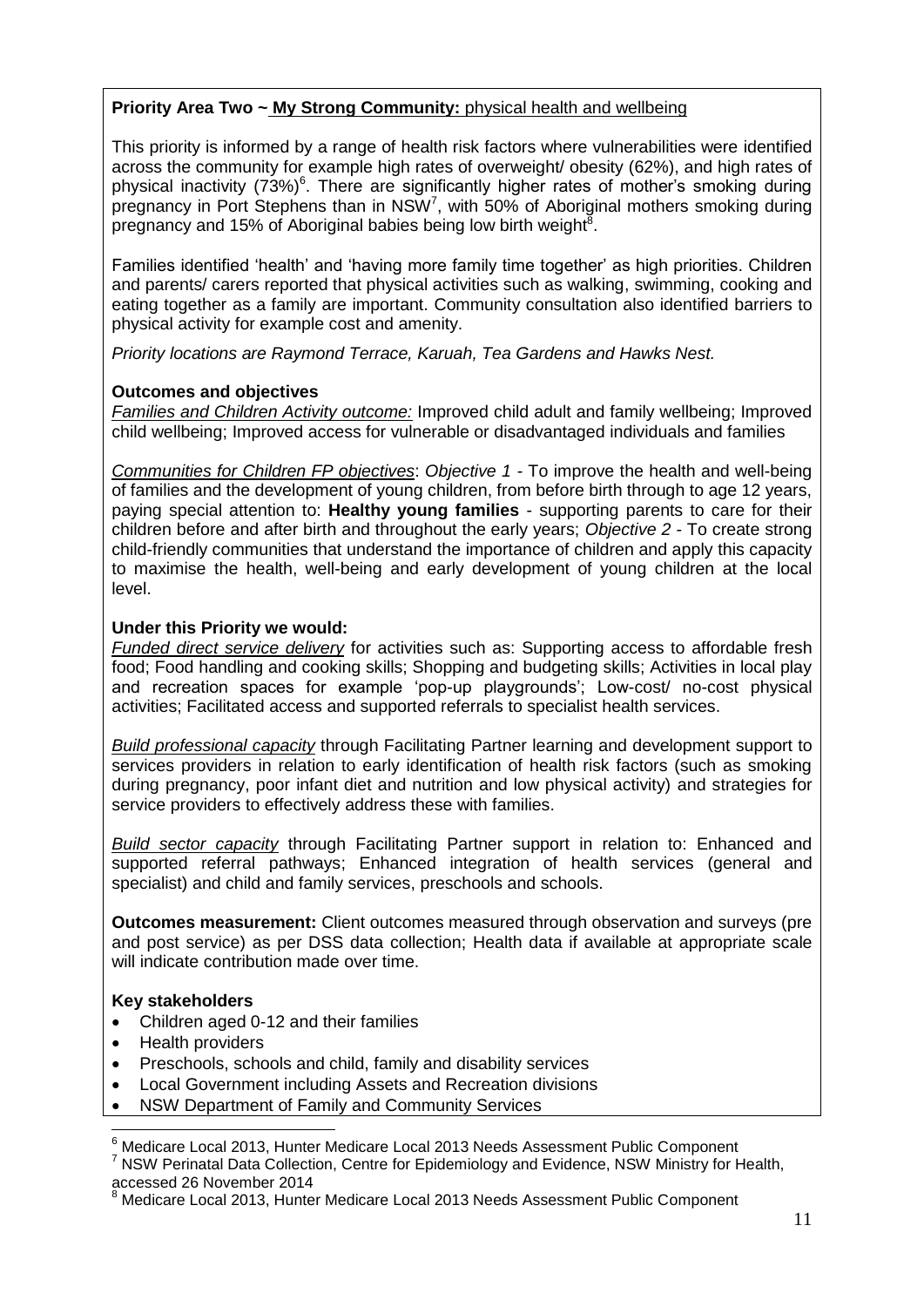## **Priority Area Two ~ My Strong Community:** physical health and wellbeing

This priority is informed by a range of health risk factors where vulnerabilities were identified across the community for example high rates of overweight/ obesity (62%), and high rates of physical inactivity  $(73%)^6$ . There are significantly higher rates of mother's smoking during pregnancy in Port Stephens than in  $NSW<sup>7</sup>$ , with 50% of Aboriginal mothers smoking during pregnancy and 15% of Aboriginal babies being low birth weight<sup>8</sup>.

Families identified 'health' and 'having more family time together' as high priorities. Children and parents/ carers reported that physical activities such as walking, swimming, cooking and eating together as a family are important. Community consultation also identified barriers to physical activity for example cost and amenity.

*Priority locations are Raymond Terrace, Karuah, Tea Gardens and Hawks Nest.*

## **Outcomes and objectives**

*Families and Children Activity outcome:* Improved child adult and family wellbeing; Improved child wellbeing; Improved access for vulnerable or disadvantaged individuals and families

*Communities for Children FP objectives*: *Objective 1 -* To improve the health and well-being of families and the development of young children, from before birth through to age 12 years, paying special attention to: **Healthy young families** - supporting parents to care for their children before and after birth and throughout the early years; *Objective 2 -* To create strong child-friendly communities that understand the importance of children and apply this capacity to maximise the health, well-being and early development of young children at the local level.

### **Under this Priority we would:**

*Funded direct service delivery* for activities such as: Supporting access to affordable fresh food; Food handling and cooking skills; Shopping and budgeting skills; Activities in local play and recreation spaces for example 'pop-up playgrounds'; Low-cost/ no-cost physical activities; Facilitated access and supported referrals to specialist health services.

*Build professional capacity* through Facilitating Partner learning and development support to services providers in relation to early identification of health risk factors (such as smoking during pregnancy, poor infant diet and nutrition and low physical activity) and strategies for service providers to effectively address these with families.

*Build sector capacity* through Facilitating Partner support in relation to: Enhanced and supported referral pathways; Enhanced integration of health services (general and specialist) and child and family services, preschools and schools.

**Outcomes measurement:** Client outcomes measured through observation and surveys (pre and post service) as per DSS data collection; Health data if available at appropriate scale will indicate contribution made over time.

## **Key stakeholders**

- Children aged 0-12 and their families
- Health providers
- Preschools, schools and child, family and disability services
- Local Government including Assets and Recreation divisions
- NSW Department of Family and Community Services

 $<sup>7</sup>$  NSW Perinatal Data Collection, Centre for Epidemiology and Evidence, NSW Ministry for Health,</sup> accessed 26 November 2014

<sup>-</sup> $^6$  Medicare Local 2013, Hunter Medicare Local 2013 Needs Assessment Public Component

<sup>8</sup> Medicare Local 2013, Hunter Medicare Local 2013 Needs Assessment Public Component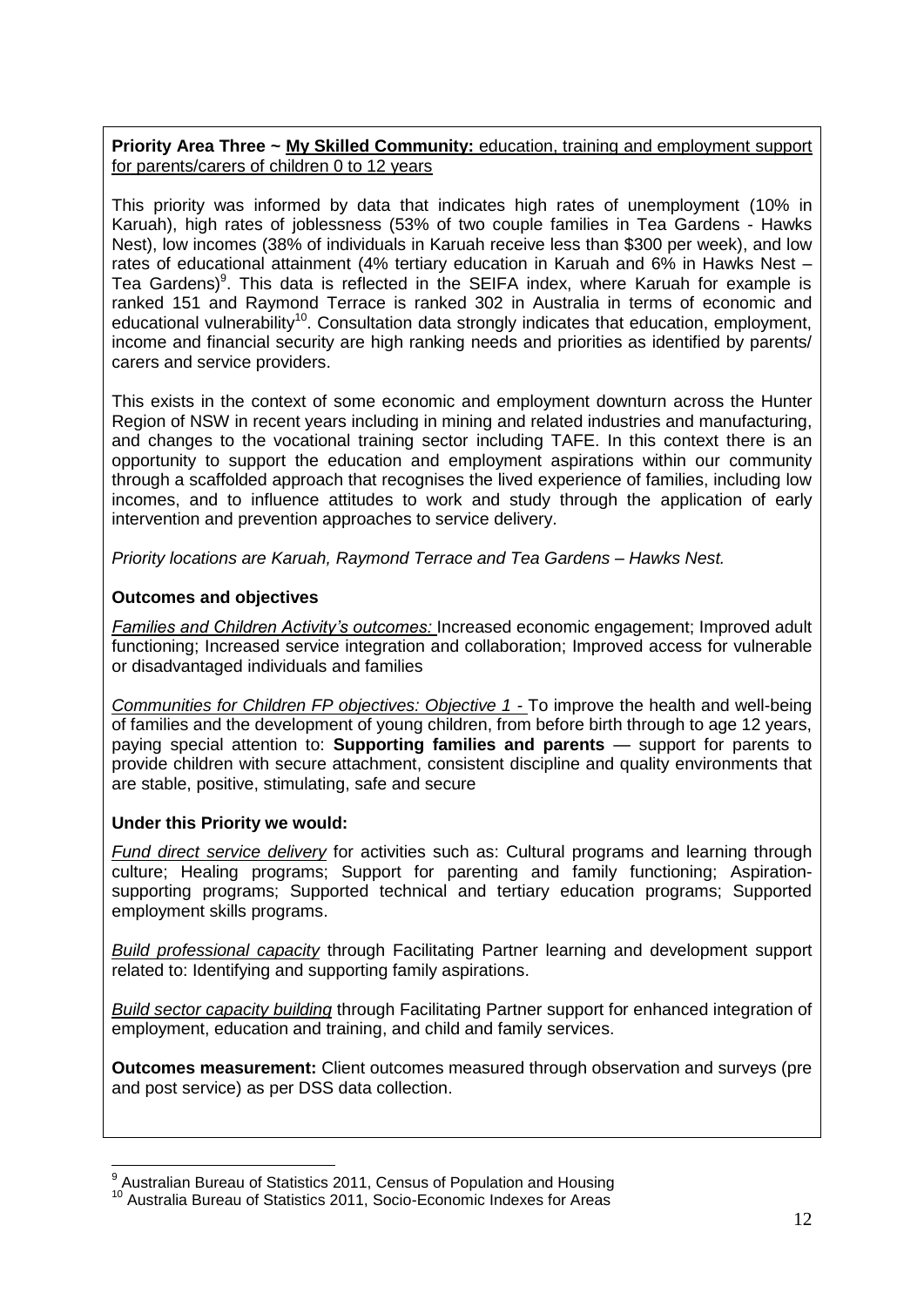## **Priority Area Three ~ My Skilled Community:** education, training and employment support for parents/carers of children 0 to 12 years

This priority was informed by data that indicates high rates of unemployment (10% in Karuah), high rates of joblessness (53% of two couple families in Tea Gardens - Hawks Nest), low incomes (38% of individuals in Karuah receive less than \$300 per week), and low rates of educational attainment (4% tertiary education in Karuah and 6% in Hawks Nest – Tea Gardens)<sup>9</sup>. This data is reflected in the SEIFA index, where Karuah for example is ranked 151 and Raymond Terrace is ranked 302 in Australia in terms of economic and educational vulnerability<sup>10</sup>. Consultation data strongly indicates that education, employment, income and financial security are high ranking needs and priorities as identified by parents/ carers and service providers.

This exists in the context of some economic and employment downturn across the Hunter Region of NSW in recent years including in mining and related industries and manufacturing, and changes to the vocational training sector including TAFE. In this context there is an opportunity to support the education and employment aspirations within our community through a scaffolded approach that recognises the lived experience of families, including low incomes, and to influence attitudes to work and study through the application of early intervention and prevention approaches to service delivery.

*Priority locations are Karuah, Raymond Terrace and Tea Gardens – Hawks Nest.* 

### **Outcomes and objectives**

*Families and Children Activity's outcomes:* Increased economic engagement; Improved adult functioning; Increased service integration and collaboration; Improved access for vulnerable or disadvantaged individuals and families

*Communities for Children FP objectives: Objective 1 -* To improve the health and well-being of families and the development of young children, from before birth through to age 12 years, paying special attention to: **Supporting families and parents** — support for parents to provide children with secure attachment, consistent discipline and quality environments that are stable, positive, stimulating, safe and secure

#### **Under this Priority we would:**

*Fund direct service delivery* for activities such as: Cultural programs and learning through culture; Healing programs; Support for parenting and family functioning; Aspirationsupporting programs; Supported technical and tertiary education programs; Supported employment skills programs.

*Build professional capacity* through Facilitating Partner learning and development support related to: Identifying and supporting family aspirations.

*Build sector capacity building* through Facilitating Partner support for enhanced integration of employment, education and training, and child and family services.

**Outcomes measurement:** Client outcomes measured through observation and surveys (pre and post service) as per DSS data collection.

\_\_\_\_\_\_\_\_\_\_\_\_\_\_\_\_\_\_\_\_\_\_\_\_\_\_\_\_\_\_\_\_\_<br><sup>9</sup> Australian Bureau of Statistics 2011, Census of Population and Housing

<sup>10</sup> Australia Bureau of Statistics 2011, Socio-Economic Indexes for Areas